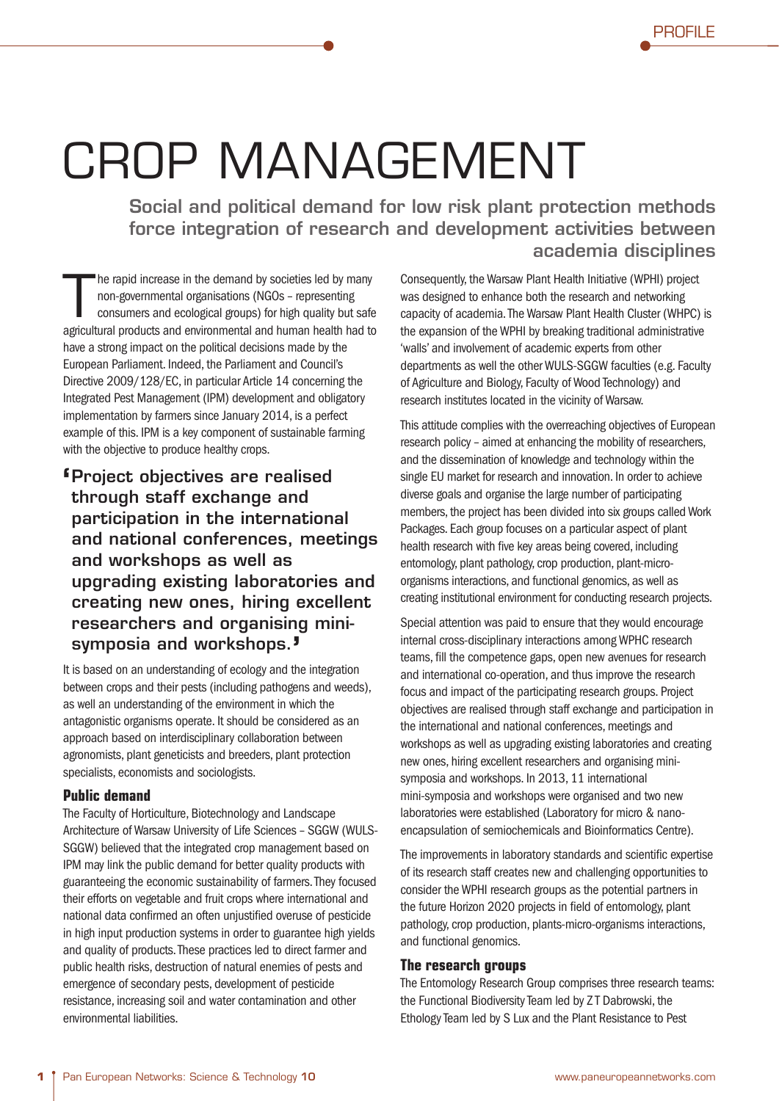<u>Profile</u>

**PROFILE** 

## CROP MANAGEMENT

**Social and political demand for low risk plant protection methods force integration of research and development activities between academia disciplines**

The rapid increase in the demand by societies led by many<br>
non-governmental organisations (NGOs – representing<br>
consumers and ecological groups) for high quality but safe<br>
agricultural products and environmental and human non-governmental organisations (NGOs – representing consumers and ecological groups) for high quality but safe agricultural products and environmental and human health had to have a strong impact on the political decisions made by the Directive 2009/128/EC, in particular Article 14 concerning the Integrated Pest Management (IPM) development and obligatory implementation by farmers since January 2014, is a perfect example of this. IPM is a key component of sustainable farming with the objective to produce healthy crops.

**' Project objectives are realised through staff exchange and participation in the international and national conferences, meetings and workshops as well as upgrading existing laboratories and creating new ones, hiring excellent researchers and organising minisymposia and workshops.'**

It is based on an understanding of ecology and the integration between crops and their pests (including pathogens and weeds), as well an understanding of the environment in which the antagonistic organisms operate. It should be considered as an approach based on interdisciplinary collaboration between agronomists, plant geneticists and breeders, plant protection specialists, economists and sociologists.

## **Public demand**

The Faculty of Horticulture, Biotechnology and Landscape Architecture of Warsaw University of Life Sciences – SGGW (WULS-SGGW) believed that the integrated crop management based on IPM may link the public demand for better quality products with guaranteeing the economic sustainability of farmers. They focused their efforts on vegetable and fruit crops where international and national data confirmed an often unjustified overuse of pesticide in high input production systems in order to guarantee high yields and quality of products. These practices led to direct farmer and public health risks, destruction of natural enemies of pests and emergence of secondary pests, development of pesticide resistance, increasing soil and water contamination and other environmental liabilities.

Consequently, the Warsaw Plant Health Initiative (WPHI) project was designed to enhance both the research and networking capacity of academia. The Warsaw Plant Health Cluster (WHPC) is the expansion of the WPHI by breaking traditional administrative 'walls' and involvement of academic experts from other departments as well the other WULS-SGGW faculties (e.g. Faculty of Agriculture and Biology, Faculty of Wood Technology) and research institutes located in the vicinity of Warsaw.

This attitude complies with the overreaching objectives of European research policy – aimed at enhancing the mobility of researchers, and the dissemination of knowledge and technology within the single EU market for research and innovation. In order to achieve diverse goals and organise the large number of participating members, the project has been divided into six groups called Work Packages. Each group focuses on a particular aspect of plant health research with five key areas being covered, including entomology, plant pathology, crop production, plant-microorganisms interactions, and functional genomics, as well as creating institutional environment for conducting research projects.

Special attention was paid to ensure that they would encourage internal cross-disciplinary interactions among WPHC research teams, fill the competence gaps, open new avenues for research and international co-operation, and thus improve the research focus and impact of the participating research groups. Project objectives are realised through staff exchange and participation in the international and national conferences, meetings and workshops as well as upgrading existing laboratories and creating new ones, hiring excellent researchers and organising minisymposia and workshops. In 2013, 11 international mini-symposia and workshops were organised and two new laboratories were established (Laboratory for micro & nanoencapsulation of semiochemicals and Bioinformatics Centre).

The improvements in laboratory standards and scientific expertise of its research staff creates new and challenging opportunities to consider the WPHI research groups as the potential partners in the future Horizon 2020 projects in field of entomology, plant pathology, crop production, plants-micro-organisms interactions, and functional genomics.

## **The research groups**

The Entomology Research Group comprises three research teams: the Functional Biodiversity Team led by Z T Dabrowski, the Ethology Team led by S Lux and the Plant Resistance to Pest